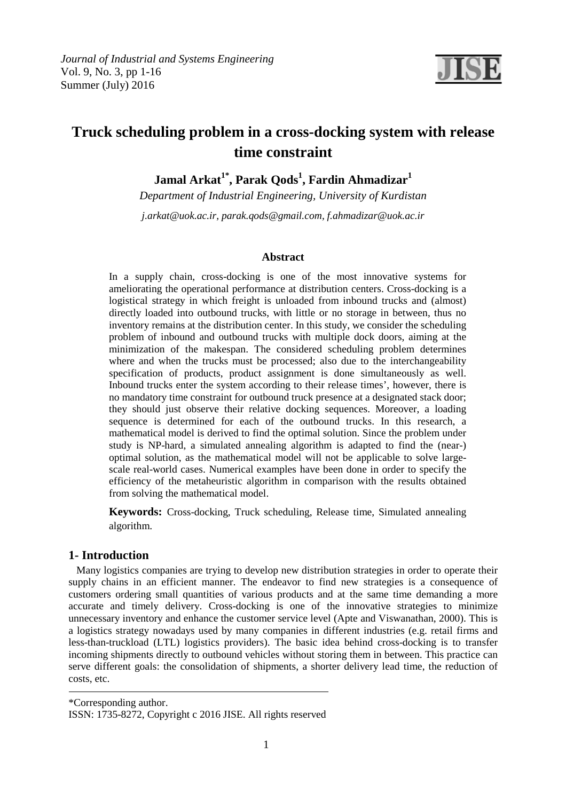

# **Truck scheduling problem in a cross-docking system with release time constraint**

**Jamal Arkat1\*, Parak Qods<sup>1</sup> , Fardin Ahmadizar<sup>1</sup>**

*Department of Industrial Engineering, University of Kurdistan* 

*j.arkat@uok.ac.ir, parak.qods@gmail.com, f.ahmadizar@uok.ac.ir* 

# **Abstract**

In a supply chain, cross-docking is one of the most innovative systems for ameliorating the operational performance at distribution centers. Cross-docking is a logistical strategy in which freight is unloaded from inbound trucks and (almost) directly loaded into outbound trucks, with little or no storage in between, thus no inventory remains at the distribution center. In this study, we consider the scheduling problem of inbound and outbound trucks with multiple dock doors, aiming at the minimization of the makespan. The considered scheduling problem determines where and when the trucks must be processed; also due to the interchangeability specification of products, product assignment is done simultaneously as well. Inbound trucks enter the system according to their release times', however, there is no mandatory time constraint for outbound truck presence at a designated stack door; they should just observe their relative docking sequences. Moreover, a loading sequence is determined for each of the outbound trucks. In this research, a mathematical model is derived to find the optimal solution. Since the problem under study is NP-hard, a simulated annealing algorithm is adapted to find the (near-) optimal solution, as the mathematical model will not be applicable to solve largescale real-world cases. Numerical examples have been done in order to specify the efficiency of the metaheuristic algorithm in comparison with the results obtained from solving the mathematical model.

**Keywords:** Cross-docking, Truck scheduling, Release time, Simulated annealing algorithm.

# **1- Introduction**

 Many logistics companies are trying to develop new distribution strategies in order to operate their supply chains in an efficient manner. The endeavor to find new strategies is a consequence of customers ordering small quantities of various products and at the same time demanding a more accurate and timely delivery. Cross-docking is one of the innovative strategies to minimize unnecessary inventory and enhance the customer service level (Apte and Viswanathan, 2000). This is a logistics strategy nowadays used by many companies in different industries (e.g. retail firms and less-than-truckload (LTL) logistics providers). The basic idea behind cross-docking is to transfer incoming shipments directly to outbound vehicles without storing them in between. This practice can serve different goals: the consolidation of shipments, a shorter delivery lead time, the reduction of costs, etc.

\*Corresponding author. ISSN: 1735-8272, Copyright c 2016 JISE. All rights reserved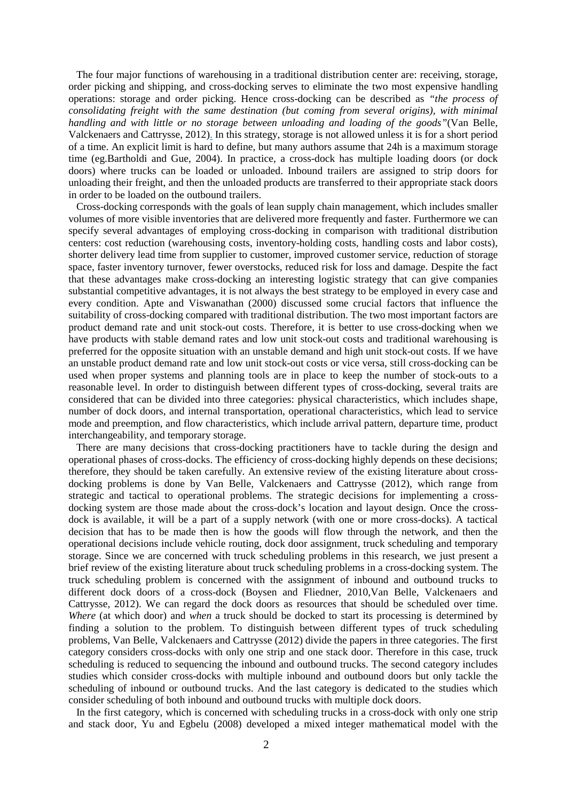The four major functions of warehousing in a traditional distribution center are: receiving, storage, order picking and shipping, and cross-docking serves to eliminate the two most expensive handling operations: storage and order picking. Hence cross-docking can be described as *"the process of consolidating freight with the same destination (but coming from several origins), with minimal handling and with little or no storage between unloading and loading of the goods"*(Van Belle, Valckenaers and Cattrysse, 2012). In this strategy, storage is not allowed unless it is for a short period of a time. An explicit limit is hard to define, but many authors assume that 24h is a maximum storage time (eg.Bartholdi and Gue, 2004). In practice, a cross-dock has multiple loading doors (or dock doors) where trucks can be loaded or unloaded. Inbound trailers are assigned to strip doors for unloading their freight, and then the unloaded products are transferred to their appropriate stack doors in order to be loaded on the outbound trailers.

 Cross-docking corresponds with the goals of lean supply chain management, which includes smaller volumes of more visible inventories that are delivered more frequently and faster. Furthermore we can specify several advantages of employing cross-docking in comparison with traditional distribution centers: cost reduction (warehousing costs, inventory-holding costs, handling costs and labor costs), shorter delivery lead time from supplier to customer, improved customer service, reduction of storage space, faster inventory turnover, fewer overstocks, reduced risk for loss and damage. Despite the fact that these advantages make cross-docking an interesting logistic strategy that can give companies substantial competitive advantages, it is not always the best strategy to be employed in every case and every condition. Apte and Viswanathan (2000) discussed some crucial factors that influence the suitability of cross-docking compared with traditional distribution. The two most important factors are product demand rate and unit stock-out costs. Therefore, it is better to use cross-docking when we have products with stable demand rates and low unit stock-out costs and traditional warehousing is preferred for the opposite situation with an unstable demand and high unit stock-out costs. If we have an unstable product demand rate and low unit stock-out costs or vice versa, still cross-docking can be used when proper systems and planning tools are in place to keep the number of stock-outs to a reasonable level. In order to distinguish between different types of cross-docking, several traits are considered that can be divided into three categories: physical characteristics, which includes shape, number of dock doors, and internal transportation, operational characteristics, which lead to service mode and preemption, and flow characteristics, which include arrival pattern, departure time, product interchangeability, and temporary storage.

 There are many decisions that cross-docking practitioners have to tackle during the design and operational phases of cross-docks. The efficiency of cross-docking highly depends on these decisions; therefore, they should be taken carefully. An extensive review of the existing literature about crossdocking problems is done by Van Belle, Valckenaers and Cattrysse (2012), which range from strategic and tactical to operational problems. The strategic decisions for implementing a crossdocking system are those made about the cross-dock's location and layout design. Once the crossdock is available, it will be a part of a supply network (with one or more cross-docks). A tactical decision that has to be made then is how the goods will flow through the network, and then the operational decisions include vehicle routing, dock door assignment, truck scheduling and temporary storage. Since we are concerned with truck scheduling problems in this research, we just present a brief review of the existing literature about truck scheduling problems in a cross-docking system. The truck scheduling problem is concerned with the assignment of inbound and outbound trucks to different dock doors of a cross-dock (Boysen and Fliedner, 2010,Van Belle, Valckenaers and Cattrysse, 2012). We can regard the dock doors as resources that should be scheduled over time. *Where* (at which door) and *when* a truck should be docked to start its processing is determined by finding a solution to the problem. To distinguish between different types of truck scheduling problems, Van Belle, Valckenaers and Cattrysse (2012) divide the papers in three categories. The first category considers cross-docks with only one strip and one stack door. Therefore in this case, truck scheduling is reduced to sequencing the inbound and outbound trucks. The second category includes studies which consider cross-docks with multiple inbound and outbound doors but only tackle the scheduling of inbound or outbound trucks. And the last category is dedicated to the studies which consider scheduling of both inbound and outbound trucks with multiple dock doors.

 In the first category, which is concerned with scheduling trucks in a cross-dock with only one strip and stack door, Yu and Egbelu (2008) developed a mixed integer mathematical model with the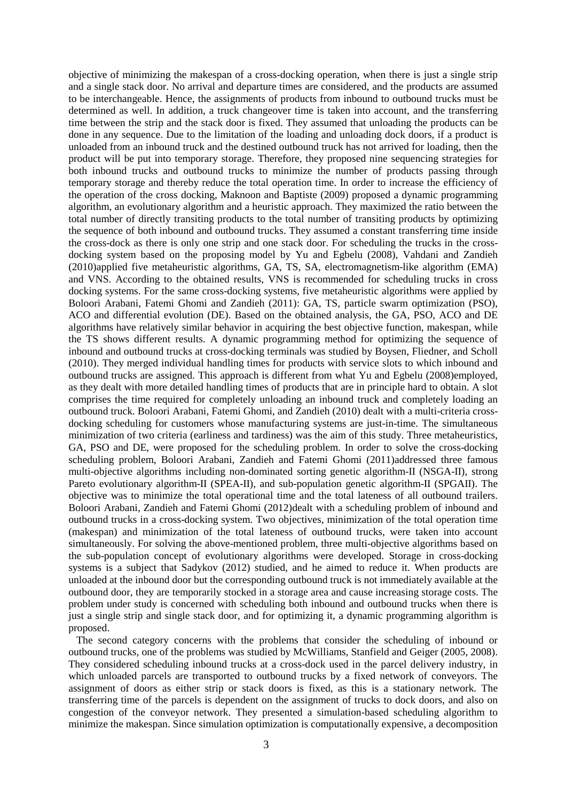objective of minimizing the makespan of a cross-docking operation, when there is just a single strip and a single stack door. No arrival and departure times are considered, and the products are assumed to be interchangeable. Hence, the assignments of products from inbound to outbound trucks must be determined as well. In addition, a truck changeover time is taken into account, and the transferring time between the strip and the stack door is fixed. They assumed that unloading the products can be done in any sequence. Due to the limitation of the loading and unloading dock doors, if a product is unloaded from an inbound truck and the destined outbound truck has not arrived for loading, then the product will be put into temporary storage. Therefore, they proposed nine sequencing strategies for both inbound trucks and outbound trucks to minimize the number of products passing through temporary storage and thereby reduce the total operation time. In order to increase the efficiency of the operation of the cross docking, Maknoon and Baptiste (2009) proposed a dynamic programming algorithm, an evolutionary algorithm and a heuristic approach. They maximized the ratio between the total number of directly transiting products to the total number of transiting products by optimizing the sequence of both inbound and outbound trucks. They assumed a constant transferring time inside the cross-dock as there is only one strip and one stack door. For scheduling the trucks in the crossdocking system based on the proposing model by Yu and Egbelu (2008), Vahdani and Zandieh (2010)applied five metaheuristic algorithms, GA, TS, SA, electromagnetism-like algorithm (EMA) and VNS. According to the obtained results, VNS is recommended for scheduling trucks in cross docking systems. For the same cross-docking systems, five metaheuristic algorithms were applied by Boloori Arabani, Fatemi Ghomi and Zandieh (2011): GA, TS, particle swarm optimization (PSO), ACO and differential evolution (DE). Based on the obtained analysis, the GA, PSO, ACO and DE algorithms have relatively similar behavior in acquiring the best objective function, makespan, while the TS shows different results. A dynamic programming method for optimizing the sequence of inbound and outbound trucks at cross-docking terminals was studied by Boysen, Fliedner, and Scholl (2010). They merged individual handling times for products with service slots to which inbound and outbound trucks are assigned. This approach is different from what Yu and Egbelu (2008)employed, as they dealt with more detailed handling times of products that are in principle hard to obtain. A slot comprises the time required for completely unloading an inbound truck and completely loading an outbound truck. Boloori Arabani, Fatemi Ghomi, and Zandieh (2010) dealt with a multi-criteria crossdocking scheduling for customers whose manufacturing systems are just-in-time. The simultaneous minimization of two criteria (earliness and tardiness) was the aim of this study. Three metaheuristics, GA, PSO and DE, were proposed for the scheduling problem. In order to solve the cross-docking scheduling problem, Boloori Arabani, Zandieh and Fatemi Ghomi (2011)addressed three famous multi-objective algorithms including non-dominated sorting genetic algorithm-II (NSGA-II), strong Pareto evolutionary algorithm-II (SPEA-II), and sub-population genetic algorithm-II (SPGAII). The objective was to minimize the total operational time and the total lateness of all outbound trailers. Boloori Arabani, Zandieh and Fatemi Ghomi (2012)dealt with a scheduling problem of inbound and outbound trucks in a cross-docking system. Two objectives, minimization of the total operation time (makespan) and minimization of the total lateness of outbound trucks, were taken into account simultaneously. For solving the above-mentioned problem, three multi-objective algorithms based on the sub-population concept of evolutionary algorithms were developed. Storage in cross-docking systems is a subject that Sadykov (2012) studied, and he aimed to reduce it. When products are unloaded at the inbound door but the corresponding outbound truck is not immediately available at the outbound door, they are temporarily stocked in a storage area and cause increasing storage costs. The problem under study is concerned with scheduling both inbound and outbound trucks when there is just a single strip and single stack door, and for optimizing it, a dynamic programming algorithm is proposed.

 The second category concerns with the problems that consider the scheduling of inbound or outbound trucks, one of the problems was studied by McWilliams, Stanfield and Geiger (2005, 2008). They considered scheduling inbound trucks at a cross-dock used in the parcel delivery industry, in which unloaded parcels are transported to outbound trucks by a fixed network of conveyors. The assignment of doors as either strip or stack doors is fixed, as this is a stationary network. The transferring time of the parcels is dependent on the assignment of trucks to dock doors, and also on congestion of the conveyor network. They presented a simulation-based scheduling algorithm to minimize the makespan. Since simulation optimization is computationally expensive, a decomposition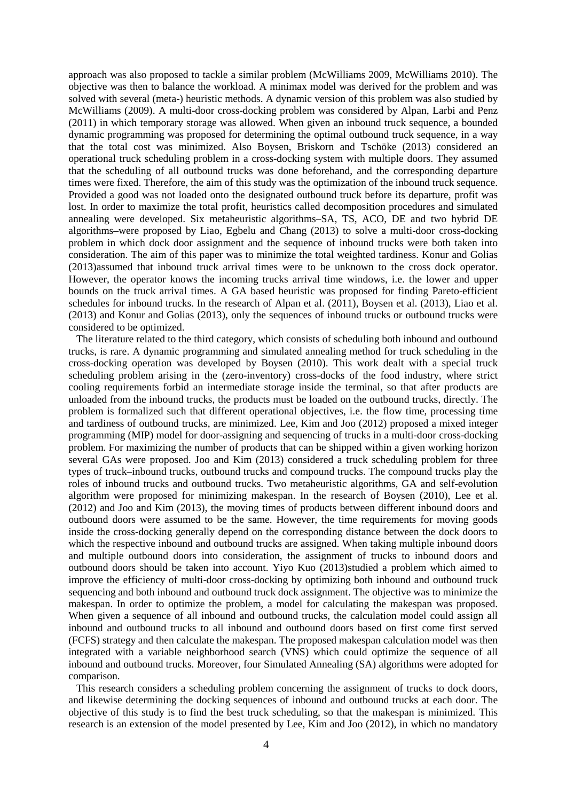approach was also proposed to tackle a similar problem (McWilliams 2009, McWilliams 2010). The objective was then to balance the workload. A minimax model was derived for the problem and was solved with several (meta-) heuristic methods. A dynamic version of this problem was also studied by McWilliams (2009). A multi-door cross-docking problem was considered by Alpan, Larbi and Penz (2011) in which temporary storage was allowed. When given an inbound truck sequence, a bounded dynamic programming was proposed for determining the optimal outbound truck sequence, in a way that the total cost was minimized. Also Boysen, Briskorn and Tschöke (2013) considered an operational truck scheduling problem in a cross-docking system with multiple doors. They assumed that the scheduling of all outbound trucks was done beforehand, and the corresponding departure times were fixed. Therefore, the aim of this study was the optimization of the inbound truck sequence. Provided a good was not loaded onto the designated outbound truck before its departure, profit was lost. In order to maximize the total profit, heuristics called decomposition procedures and simulated annealing were developed. Six metaheuristic algorithms–SA, TS, ACO, DE and two hybrid DE algorithms–were proposed by Liao, Egbelu and Chang (2013) to solve a multi-door cross-docking problem in which dock door assignment and the sequence of inbound trucks were both taken into consideration. The aim of this paper was to minimize the total weighted tardiness. Konur and Golias (2013)assumed that inbound truck arrival times were to be unknown to the cross dock operator. However, the operator knows the incoming trucks arrival time windows, i.e. the lower and upper bounds on the truck arrival times. A GA based heuristic was proposed for finding Pareto-efficient schedules for inbound trucks. In the research of Alpan et al. (2011), Boysen et al. (2013), Liao et al. (2013) and Konur and Golias (2013), only the sequences of inbound trucks or outbound trucks were considered to be optimized.

 The literature related to the third category, which consists of scheduling both inbound and outbound trucks, is rare. A dynamic programming and simulated annealing method for truck scheduling in the cross-docking operation was developed by Boysen (2010). This work dealt with a special truck scheduling problem arising in the (zero-inventory) cross-docks of the food industry, where strict cooling requirements forbid an intermediate storage inside the terminal, so that after products are unloaded from the inbound trucks, the products must be loaded on the outbound trucks, directly. The problem is formalized such that different operational objectives, i.e. the flow time, processing time and tardiness of outbound trucks, are minimized. Lee, Kim and Joo (2012) proposed a mixed integer programming (MIP) model for door-assigning and sequencing of trucks in a multi-door cross-docking problem. For maximizing the number of products that can be shipped within a given working horizon several GAs were proposed. Joo and Kim (2013) considered a truck scheduling problem for three types of truck–inbound trucks, outbound trucks and compound trucks. The compound trucks play the roles of inbound trucks and outbound trucks. Two metaheuristic algorithms, GA and self-evolution algorithm were proposed for minimizing makespan. In the research of Boysen (2010), Lee et al. (2012) and Joo and Kim (2013), the moving times of products between different inbound doors and outbound doors were assumed to be the same. However, the time requirements for moving goods inside the cross-docking generally depend on the corresponding distance between the dock doors to which the respective inbound and outbound trucks are assigned. When taking multiple inbound doors and multiple outbound doors into consideration, the assignment of trucks to inbound doors and outbound doors should be taken into account. Yiyo Kuo (2013)studied a problem which aimed to improve the efficiency of multi-door cross-docking by optimizing both inbound and outbound truck sequencing and both inbound and outbound truck dock assignment. The objective was to minimize the makespan. In order to optimize the problem, a model for calculating the makespan was proposed. When given a sequence of all inbound and outbound trucks, the calculation model could assign all inbound and outbound trucks to all inbound and outbound doors based on first come first served (FCFS) strategy and then calculate the makespan. The proposed makespan calculation model was then integrated with a variable neighborhood search (VNS) which could optimize the sequence of all inbound and outbound trucks. Moreover, four Simulated Annealing (SA) algorithms were adopted for comparison.

 This research considers a scheduling problem concerning the assignment of trucks to dock doors, and likewise determining the docking sequences of inbound and outbound trucks at each door. The objective of this study is to find the best truck scheduling, so that the makespan is minimized. This research is an extension of the model presented by Lee, Kim and Joo (2012), in which no mandatory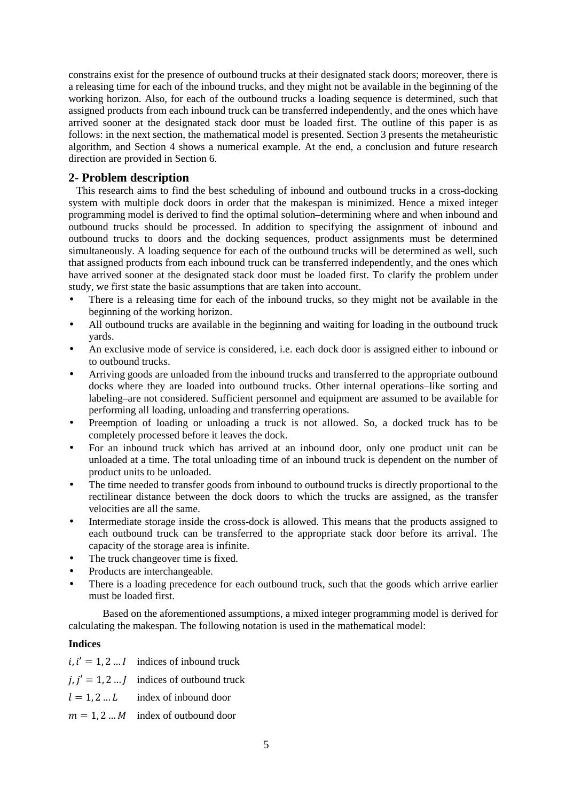constrains exist for the presence of outbound trucks at their designated stack doors; moreover, there is a releasing time for each of the inbound trucks, and they might not be available in the beginning of the working horizon. Also, for each of the outbound trucks a loading sequence is determined, such that assigned products from each inbound truck can be transferred independently, and the ones which have arrived sooner at the designated stack door must be loaded first. The outline of this paper is as follows: in the next section, the mathematical model is presented. Section 3 presents the metaheuristic algorithm, and Section 4 shows a numerical example. At the end, a conclusion and future research direction are provided in Section 6.

## **2- Problem description**

 This research aims to find the best scheduling of inbound and outbound trucks in a cross-docking system with multiple dock doors in order that the makespan is minimized. Hence a mixed integer programming model is derived to find the optimal solution–determining where and when inbound and outbound trucks should be processed. In addition to specifying the assignment of inbound and outbound trucks to doors and the docking sequences, product assignments must be determined simultaneously. A loading sequence for each of the outbound trucks will be determined as well, such that assigned products from each inbound truck can be transferred independently, and the ones which have arrived sooner at the designated stack door must be loaded first. To clarify the problem under study, we first state the basic assumptions that are taken into account.

- There is a releasing time for each of the inbound trucks, so they might not be available in the beginning of the working horizon.
- All outbound trucks are available in the beginning and waiting for loading in the outbound truck yards.
- An exclusive mode of service is considered, i.e. each dock door is assigned either to inbound or to outbound trucks.
- Arriving goods are unloaded from the inbound trucks and transferred to the appropriate outbound docks where they are loaded into outbound trucks. Other internal operations–like sorting and labeling–are not considered. Sufficient personnel and equipment are assumed to be available for performing all loading, unloading and transferring operations.
- Preemption of loading or unloading a truck is not allowed. So, a docked truck has to be completely processed before it leaves the dock.
- For an inbound truck which has arrived at an inbound door, only one product unit can be unloaded at a time. The total unloading time of an inbound truck is dependent on the number of product units to be unloaded.
- The time needed to transfer goods from inbound to outbound trucks is directly proportional to the rectilinear distance between the dock doors to which the trucks are assigned, as the transfer velocities are all the same.
- Intermediate storage inside the cross-dock is allowed. This means that the products assigned to each outbound truck can be transferred to the appropriate stack door before its arrival. The capacity of the storage area is infinite.
- The truck changeover time is fixed.
- Products are interchangeable.
- There is a loading precedence for each outbound truck, such that the goods which arrive earlier must be loaded first.

Based on the aforementioned assumptions, a mixed integer programming model is derived for calculating the makespan. The following notation is used in the mathematical model:

#### **Indices**

| $i, i' = 1, 2 I$ indices of inbound truck        |
|--------------------------------------------------|
| $j, j' = 1, 2 \dots j$ indices of outbound truck |
| $l = 1, 2L$ index of inbound door                |

 $m = 1, 2, \dots, M$  index of outbound door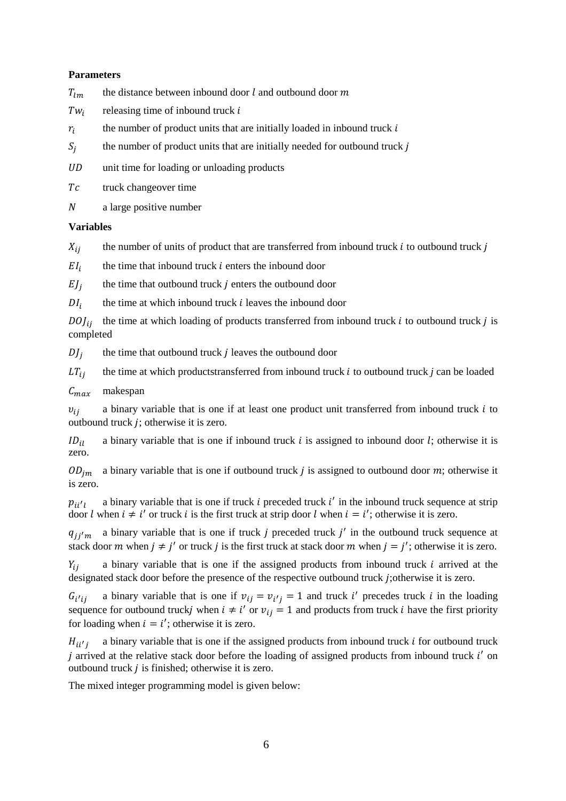#### **Parameters**

- $T_{lm}$  the distance between inbound door l and outbound door m
- $Tw_i$ releasing time of inbound truck  $i$
- $r_i$ the number of product units that are initially loaded in inbound truck  $i$
- $S_i$ the number of product units that are initially needed for outbound truck *j*
- UD unit time for loading or unloading products
- Tc truck changeover time
- a large positive number

#### **Variables**

- $X_{i,i}$  the number of units of product that are transferred from inbound truck i to outbound truck j
- $EI_i$ the time that inbound truck  $i$  enters the inbound door
- EJ j the time that outbound truck  $j$  enters the outbound door
- $DI_i$ the time at which inbound truck  $i$  leaves the inbound door

 $D O J_{ij}$  the time at which loading of products transferred from inbound truck *i* to outbound truck *j* is completed

 $D\!J_j$ the time that outbound truck  $j$  leaves the outbound door

 $LT_{ij}$  the time at which productstransferred from inbound truck *i* to outbound truck *j* can be loaded

#### $C_{max}$  makespan

 $v_{ii}$  a binary variable that is one if at least one product unit transferred from inbound truck *i* to outbound truck *; otherwise it is zero.* 

 $ID_{i1}$  a binary variable that is one if inbound truck *i* is assigned to inbound door *l*; otherwise it is zero.

 $OD_{im}$  a binary variable that is one if outbound truck *j* is assigned to outbound door *m*; otherwise it is zero.

 $p_{ii'l}$ a binary variable that is one if truck  $i$  preceded truck  $i'$  in the inbound truck sequence at strip door *l* when  $i \neq i'$  or truck *i* is the first truck at strip door *l* when  $i = i'$ ; otherwise it is zero.

 $q_{jj'm}$  a binary variable that is one if truck *j* preceded truck *j'* in the outbound truck sequence at stack door *m* when  $j \neq j'$  or truck *j* is the first truck at stack door *m* when  $j = j'$ ; otherwise it is zero.

 $Y_{ii}$  a binary variable that is one if the assigned products from inbound truck *i* arrived at the designated stack door before the presence of the respective outbound truck *j*; otherwise it is zero.

 $G_{\bm{i}'}$ ij a binary variable that is one if  $v_{ij} = v_{i'j} = 1$  and truck i' precedes truck i in the loading sequence for outbound truck*j* when  $i \neq i'$  or  $v_{ij} = 1$  and products from truck *i* have the first priority for loading when  $i = i'$ ; otherwise it is zero.

 $H$ <sub>ii' j</sub> a binary variable that is one if the assigned products from inbound truck  $i$  for outbound truck *j* arrived at the relative stack door before the loading of assigned products from inbound truck  $i'$  on outbound truck  $j$  is finished; otherwise it is zero.

The mixed integer programming model is given below: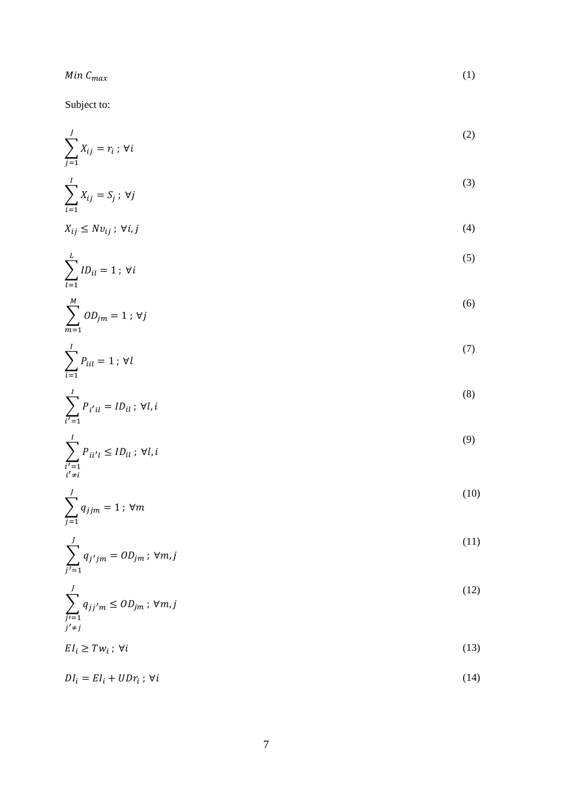Subject to:

 $i' \neq i$ 

 $j=1$ 

 $j' \neq j$ 

$$
\sum_{j=1}^{J} X_{ij} = r_i \, ; \, \forall i
$$

$$
\sum_{i}^{I} X_{ij} = S_j \; ; \; \forall j
$$

$$
i=1
$$
  

$$
X_{ij} \le Nv_{ij} ; \forall i, j
$$
 (4)

$$
\sum_{l=1}^{L} ID_{il} = 1 \; ; \; \forall i
$$

$$
\sum_{m=1}^{M} OD_{jm} = 1; \forall j
$$
\n<sup>(6)</sup>

$$
\sum_{l}^{l} P_{iil} = 1; \forall l \tag{7}
$$

$$
\sum_{i'=1}^{l} P_{i'i} = ID_{il} \; ; \; \forall l, i
$$
\n(8)

$$
\sum_{i'=1}^{I} P_{ii'l} \le ID_{il} \; ; \; \forall l, i
$$
\n(9)

$$
\sum_{j}^{J} q_{jjm} = 1; \forall m
$$
 (10)

$$
\sum_{j'=1}^{J} q_{j'jm} = OD_{jm}; \forall m, j
$$
\n(11)

$$
\sum_{j=1}^{J} q_{jj'm} \leq OD_{jm}; \forall m, j
$$
\n
$$
(12)
$$

$$
EI_i \ge Tw_i \; ; \; \forall i \tag{13}
$$

$$
DI_i = EI_i + UDr_i; \forall i \tag{14}
$$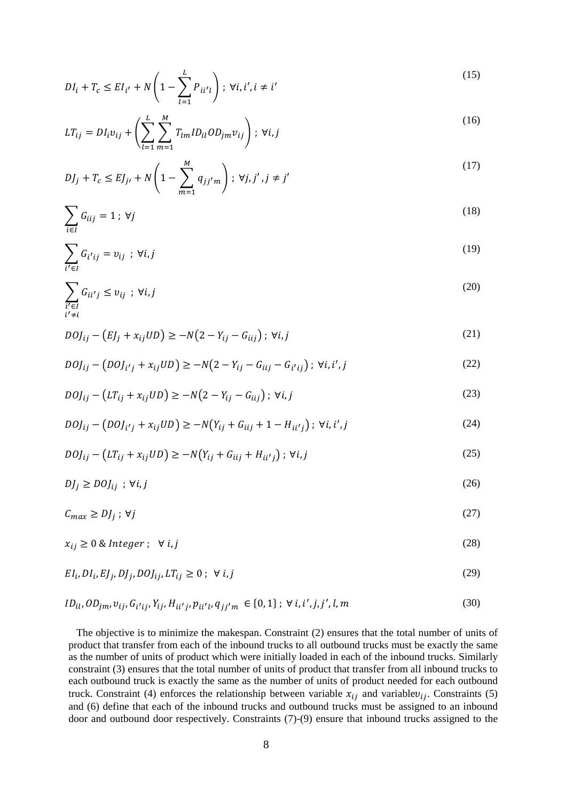$$
DI_{i} + T_{c} \le EI_{i'} + N\left(1 - \sum_{l=1}^{L} P_{ii'l}\right); \ \forall i, i', i \ne i'
$$
\n(15)

$$
LT_{ij} = DI_{i}v_{ij} + \left(\sum_{l=1}^{L} \sum_{m=1}^{M} T_{lm}ID_{il}OD_{jm}v_{ij}\right); \ \forall i, j
$$
 (16)

$$
DJ_j + T_c \le EJ_{j'} + N\left(1 - \sum_{m=1}^{M} q_{jj'm}\right); \ \forall j, j', j \ne j'
$$
 (17)

$$
\sum_{i \in I} G_{iij} = 1; \forall j
$$
 (18)

$$
\sum_{i' \in I} G_{i'ij} = v_{ij} \; ; \; \forall i, j \tag{19}
$$

$$
\sum_{\substack{i' \in I \\ i' \neq i}} G_{ii'j} \le v_{ij} \quad ; \quad \forall i, j \tag{20}
$$

$$
D O J_{ij} - (E J_j + x_{ij} U D) \ge -N(2 - Y_{ij} - G_{iij}); \forall i, j
$$
 (21)

$$
D O J_{ij} - (D O J_{i'j} + x_{ij} U D) \ge -N(2 - Y_{ij} - G_{ii'j} - G_{i'ij}); \forall i, i', j
$$
 (22)

$$
D O J_{ij} - (LT_{ij} + x_{ij} UD) \ge -N(2 - Y_{ij} - G_{iij}); \forall i, j
$$
 (23)

$$
D O J_{ij} - (D O J_{i'j} + x_{ij} U D) \ge -N(Y_{ij} + G_{iij} + 1 - H_{ii'j}); \forall i, i', j
$$
\n(24)

$$
D O J_{ij} - (LT_{ij} + x_{ij} UD) \ge -N(Y_{ij} + G_{iij} + H_{ii'j}); \forall i, j
$$
 (25)

$$
DJ_j \ge D OJ_{ij} \; ; \; \forall i, j \tag{26}
$$

$$
C_{max} \ge DJ_j \; ; \; \forall j \tag{27}
$$

$$
x_{ij} \ge 0 \& Integer; \forall i, j \tag{28}
$$

$$
EI_i, DI_i, EJ_j, DJ_j, DOJ_{ij}, LT_{ij} \ge 0; \forall i, j
$$
\n
$$
(29)
$$

$$
ID_{il}, OD_{jm}, v_{ij}, G_{i'ij}, Y_{ij}, H_{ii'j}, p_{ii'l}, q_{jj'm} \in \{0, 1\}; \forall i, i', j, j', l, m
$$
\n(30)

 The objective is to minimize the makespan. Constraint (2) ensures that the total number of units of product that transfer from each of the inbound trucks to all outbound trucks must be exactly the same as the number of units of product which were initially loaded in each of the inbound trucks. Similarly constraint (3) ensures that the total number of units of product that transfer from all inbound trucks to each outbound truck is exactly the same as the number of units of product needed for each outbound truck. Constraint (4) enforces the relationship between variable  $x_{ij}$  and variable  $v_{ij}$ . Constraints (5) and (6) define that each of the inbound trucks and outbound trucks must be assigned to an inbound door and outbound door respectively. Constraints (7)-(9) ensure that inbound trucks assigned to the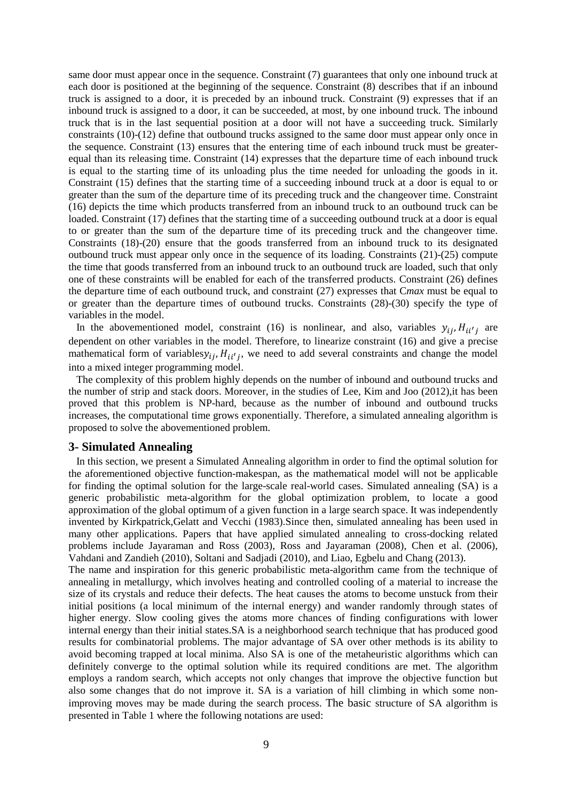same door must appear once in the sequence. Constraint (7) guarantees that only one inbound truck at each door is positioned at the beginning of the sequence. Constraint (8) describes that if an inbound truck is assigned to a door, it is preceded by an inbound truck. Constraint (9) expresses that if an inbound truck is assigned to a door, it can be succeeded, at most, by one inbound truck. The inbound truck that is in the last sequential position at a door will not have a succeeding truck. Similarly constraints (10)-(12) define that outbound trucks assigned to the same door must appear only once in the sequence. Constraint (13) ensures that the entering time of each inbound truck must be greaterequal than its releasing time. Constraint (14) expresses that the departure time of each inbound truck is equal to the starting time of its unloading plus the time needed for unloading the goods in it. Constraint (15) defines that the starting time of a succeeding inbound truck at a door is equal to or greater than the sum of the departure time of its preceding truck and the changeover time. Constraint (16) depicts the time which products transferred from an inbound truck to an outbound truck can be loaded. Constraint (17) defines that the starting time of a succeeding outbound truck at a door is equal to or greater than the sum of the departure time of its preceding truck and the changeover time. Constraints (18)-(20) ensure that the goods transferred from an inbound truck to its designated outbound truck must appear only once in the sequence of its loading. Constraints (21)-(25) compute the time that goods transferred from an inbound truck to an outbound truck are loaded, such that only one of these constraints will be enabled for each of the transferred products. Constraint (26) defines the departure time of each outbound truck, and constraint (27) expresses that C*max* must be equal to or greater than the departure times of outbound trucks. Constraints (28)-(30) specify the type of variables in the model.

In the abovementioned model, constraint (16) is nonlinear, and also, variables  $y_{ij}$ ,  $H_{ii'j}$  are dependent on other variables in the model. Therefore, to linearize constraint (16) and give a precise mathematical form of variables $y_{ij}$ ,  $H_{ii'j}$ , we need to add several constraints and change the model into a mixed integer programming model.

 The complexity of this problem highly depends on the number of inbound and outbound trucks and the number of strip and stack doors. Moreover, in the studies of Lee, Kim and Joo (2012),it has been proved that this problem is NP-hard, because as the number of inbound and outbound trucks increases, the computational time grows exponentially. Therefore, a simulated annealing algorithm is proposed to solve the abovementioned problem.

#### **3- Simulated Annealing**

 In this section, we present a Simulated Annealing algorithm in order to find the optimal solution for the aforementioned objective function-makespan, as the mathematical model will not be applicable for finding the optimal solution for the large-scale real-world cases. Simulated annealing (SA) is a generic probabilistic meta-algorithm for the global optimization problem, to locate a good approximation of the global optimum of a given function in a large search space. It was independently invented by Kirkpatrick,Gelatt and Vecchi (1983).Since then, simulated annealing has been used in many other applications. Papers that have applied simulated annealing to cross-docking related problems include Jayaraman and Ross (2003), Ross and Jayaraman (2008), Chen et al. (2006), Vahdani and Zandieh (2010), Soltani and Sadjadi (2010), and Liao, Egbelu and Chang (2013).

The name and inspiration for this generic probabilistic meta-algorithm came from the technique of annealing in metallurgy, which involves heating and controlled cooling of a material to increase the size of its crystals and reduce their defects. The heat causes the atoms to become unstuck from their initial positions (a local minimum of the internal energy) and wander randomly through states of higher energy. Slow cooling gives the atoms more chances of finding configurations with lower internal energy than their initial states.SA is a neighborhood search technique that has produced good results for combinatorial problems. The major advantage of SA over other methods is its ability to avoid becoming trapped at local minima. Also SA is one of the metaheuristic algorithms which can definitely converge to the optimal solution while its required conditions are met. The algorithm employs a random search, which accepts not only changes that improve the objective function but also some changes that do not improve it. SA is a variation of hill climbing in which some nonimproving moves may be made during the search process. The basic structure of SA algorithm is presented in Table 1 where the following notations are used: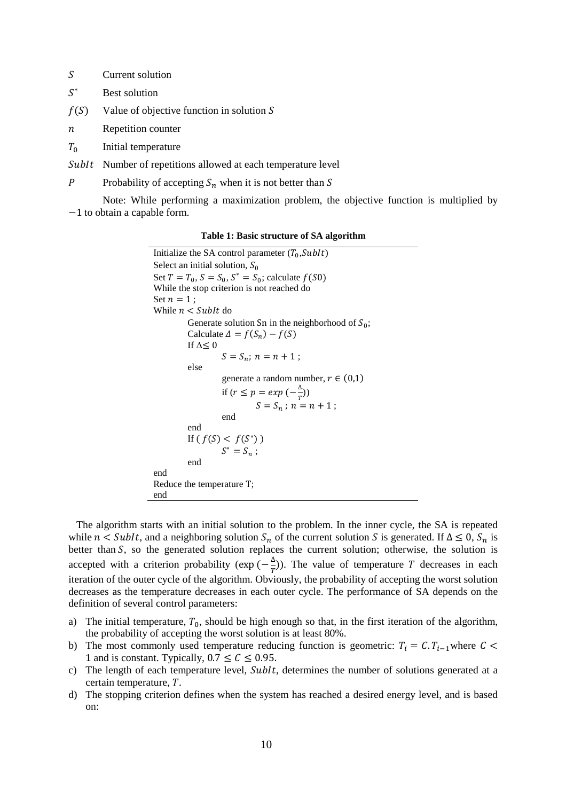- S Current solution
- $S^*$ Best solution
- $f(S)$  Value of objective function in solution S
- $n$  Repetition counter
- $T_0$  Initial temperature
- SubIt Number of repetitions allowed at each temperature level
- P Probability of accepting  $S_n$  when it is not better than S

Note: While performing a maximization problem, the objective function is multiplied by −1 to obtain a capable form.

**Table 1: Basic structure of SA algorithm** 

Initialize the SA control parameter  $(T_0, \text{SubIt})$ Select an initial solution,  $S_0$ Set  $T = T_0$ ,  $S = S_0$ ,  $S^* = S_0$ ; calculate  $f(S_0)$ While the stop criterion is not reached do Set  $n = 1$ : While  $n <$  SubIt do Generate solution Sn in the neighborhood of  $S_0$ ; Calculate  $\Delta = f(S_n) - f(S)$ If  $\Delta$ ≤ 0  $S = S_n; n = n + 1;$ else generate a random number,  $r \in (0,1)$ if  $(r \leq p = exp(-\frac{\Delta}{r}))$  $S = S_n$ ;  $n = n + 1$ ; end end If  $(f(S) < f(S^*))$  $S^* = S_n;$ end end Reduce the temperature T; end

 The algorithm starts with an initial solution to the problem. In the inner cycle, the SA is repeated while  $n \leq SubIt$ , and a neighboring solution  $S_n$  of the current solution S is generated. If  $\Delta \leq 0$ ,  $S_n$  is better than  $S$ , so the generated solution replaces the current solution; otherwise, the solution is accepted with a criterion probability ( $\exp(-\frac{\Delta}{T})$ ). The value of temperature T decreases in each iteration of the outer cycle of the algorithm. Obviously, the probability of accepting the worst solution decreases as the temperature decreases in each outer cycle. The performance of SA depends on the definition of several control parameters:

- a) The initial temperature,  $T_0$ , should be high enough so that, in the first iteration of the algorithm, the probability of accepting the worst solution is at least 80%.
- b) The most commonly used temperature reducing function is geometric:  $T_i = C.T_{i-1}$  where  $C <$ 1 and is constant. Typically,  $0.7 \le C \le 0.95$ .
- c) The length of each temperature level, SubIt, determines the number of solutions generated at a certain temperature,  $T$ .
- d) The stopping criterion defines when the system has reached a desired energy level, and is based on: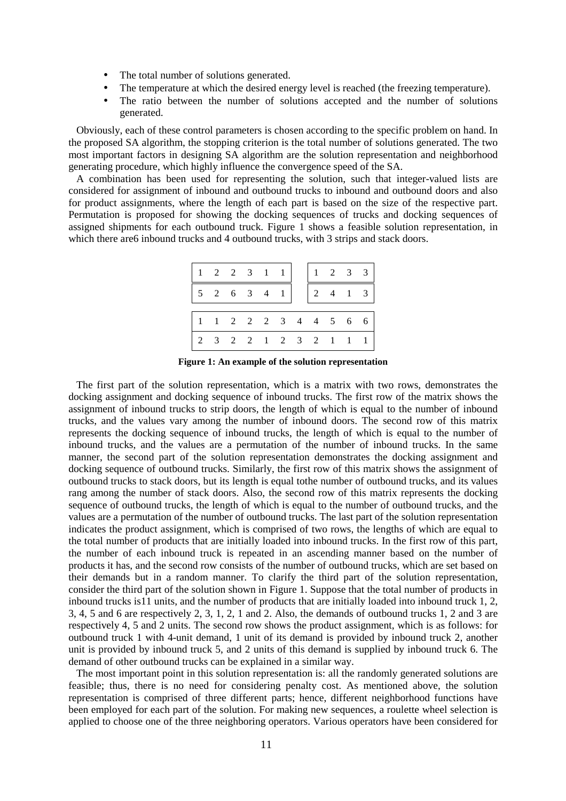- The total number of solutions generated.
- The temperature at which the desired energy level is reached (the freezing temperature).
- The ratio between the number of solutions accepted and the number of solutions generated.

 Obviously, each of these control parameters is chosen according to the specific problem on hand. In the proposed SA algorithm, the stopping criterion is the total number of solutions generated. The two most important factors in designing SA algorithm are the solution representation and neighborhood generating procedure, which highly influence the convergence speed of the SA.

 A combination has been used for representing the solution, such that integer-valued lists are considered for assignment of inbound and outbound trucks to inbound and outbound doors and also for product assignments, where the length of each part is based on the size of the respective part. Permutation is proposed for showing the docking sequences of trucks and docking sequences of assigned shipments for each outbound truck. Figure 1 shows a feasible solution representation, in which there are 6 inbound trucks and 4 outbound trucks, with 3 strips and stack doors.

| $\mathbf{1}$ | 2 2 3 1 1               |  |  |                                         |               | $1 \t2 \t3 \t3$ |                                   |   |
|--------------|-------------------------|--|--|-----------------------------------------|---------------|-----------------|-----------------------------------|---|
|              | $5 \t2 \t6 \t3 \t4 \t1$ |  |  |                                         | $\frac{2}{2}$ | $\overline{4}$  | $\begin{array}{cc} 1 \end{array}$ | 3 |
|              |                         |  |  |                                         |               |                 |                                   |   |
| $1 \quad$    |                         |  |  | $1 \t2 \t2 \t2 \t3 \t4 \t4 \t5 \t6 \t6$ |               |                 |                                   |   |
|              | 2 3 2 2 1 2 3 2 1 1     |  |  |                                         |               |                 |                                   |   |

**Figure 1: An example of the solution representation**

 The first part of the solution representation, which is a matrix with two rows, demonstrates the docking assignment and docking sequence of inbound trucks. The first row of the matrix shows the assignment of inbound trucks to strip doors, the length of which is equal to the number of inbound trucks, and the values vary among the number of inbound doors. The second row of this matrix represents the docking sequence of inbound trucks, the length of which is equal to the number of inbound trucks, and the values are a permutation of the number of inbound trucks. In the same manner, the second part of the solution representation demonstrates the docking assignment and docking sequence of outbound trucks. Similarly, the first row of this matrix shows the assignment of outbound trucks to stack doors, but its length is equal tothe number of outbound trucks, and its values rang among the number of stack doors. Also, the second row of this matrix represents the docking sequence of outbound trucks, the length of which is equal to the number of outbound trucks, and the values are a permutation of the number of outbound trucks. The last part of the solution representation indicates the product assignment, which is comprised of two rows, the lengths of which are equal to the total number of products that are initially loaded into inbound trucks. In the first row of this part, the number of each inbound truck is repeated in an ascending manner based on the number of products it has, and the second row consists of the number of outbound trucks, which are set based on their demands but in a random manner. To clarify the third part of the solution representation, consider the third part of the solution shown in Figure 1. Suppose that the total number of products in inbound trucks is11 units, and the number of products that are initially loaded into inbound truck 1, 2, 3, 4, 5 and 6 are respectively 2, 3, 1, 2, 1 and 2. Also, the demands of outbound trucks 1, 2 and 3 are respectively 4, 5 and 2 units. The second row shows the product assignment, which is as follows: for outbound truck 1 with 4-unit demand, 1 unit of its demand is provided by inbound truck 2, another unit is provided by inbound truck 5, and 2 units of this demand is supplied by inbound truck 6. The demand of other outbound trucks can be explained in a similar way.

 The most important point in this solution representation is: all the randomly generated solutions are feasible; thus, there is no need for considering penalty cost. As mentioned above, the solution representation is comprised of three different parts; hence, different neighborhood functions have been employed for each part of the solution. For making new sequences, a roulette wheel selection is applied to choose one of the three neighboring operators. Various operators have been considered for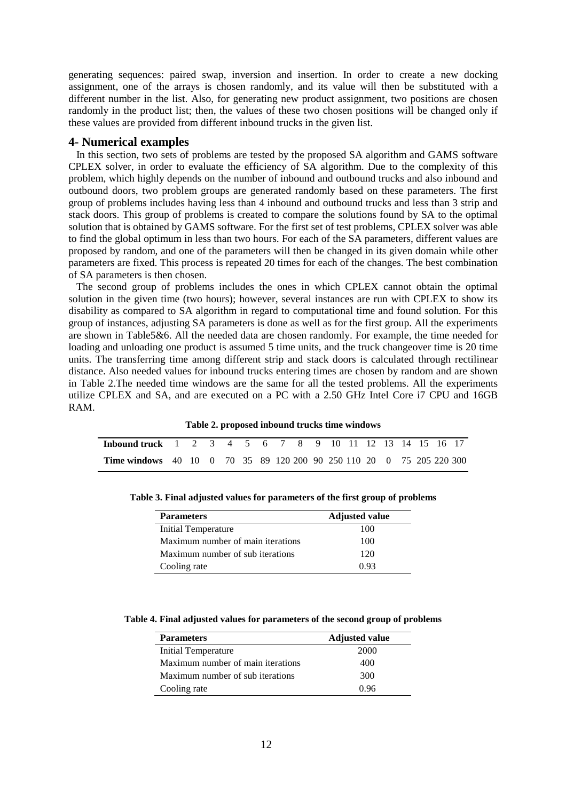generating sequences: paired swap, inversion and insertion. In order to create a new docking assignment, one of the arrays is chosen randomly, and its value will then be substituted with a different number in the list. Also, for generating new product assignment, two positions are chosen randomly in the product list; then, the values of these two chosen positions will be changed only if these values are provided from different inbound trucks in the given list.

#### **4- Numerical examples**

 In this section, two sets of problems are tested by the proposed SA algorithm and GAMS software CPLEX solver, in order to evaluate the efficiency of SA algorithm. Due to the complexity of this problem, which highly depends on the number of inbound and outbound trucks and also inbound and outbound doors, two problem groups are generated randomly based on these parameters. The first group of problems includes having less than 4 inbound and outbound trucks and less than 3 strip and stack doors. This group of problems is created to compare the solutions found by SA to the optimal solution that is obtained by GAMS software. For the first set of test problems, CPLEX solver was able to find the global optimum in less than two hours. For each of the SA parameters, different values are proposed by random, and one of the parameters will then be changed in its given domain while other parameters are fixed. This process is repeated 20 times for each of the changes. The best combination of SA parameters is then chosen.

 The second group of problems includes the ones in which CPLEX cannot obtain the optimal solution in the given time (two hours); however, several instances are run with CPLEX to show its disability as compared to SA algorithm in regard to computational time and found solution. For this group of instances, adjusting SA parameters is done as well as for the first group. All the experiments are shown in Table5&6. All the needed data are chosen randomly. For example, the time needed for loading and unloading one product is assumed 5 time units, and the truck changeover time is 20 time units. The transferring time among different strip and stack doors is calculated through rectilinear distance. Also needed values for inbound trucks entering times are chosen by random and are shown in Table 2.The needed time windows are the same for all the tested problems. All the experiments utilize CPLEX and SA, and are executed on a PC with a 2.50 GHz Intel Core i7 CPU and 16GB RAM.

**Table 2. proposed inbound trucks time windows**

| <b>Inbound truck</b> 1 2 3 4 5 6 7 8 9 10 11 12 13 14 15 16 17              |  |  |  |  |  |  |  |  |  |
|-----------------------------------------------------------------------------|--|--|--|--|--|--|--|--|--|
| <b>Time windows</b> 40 10 0 70 35 89 120 200 90 250 110 20 0 75 205 220 300 |  |  |  |  |  |  |  |  |  |

| <b>Parameters</b>                 | <b>Adjusted value</b> |
|-----------------------------------|-----------------------|
| Initial Temperature               | 100                   |
| Maximum number of main iterations | 100                   |
| Maximum number of sub iterations  | 120                   |
| Cooling rate                      | 0.93                  |

**Table 3. Final adjusted values for parameters of the first group of problems** 

**Table 4. Final adjusted values for parameters of the second group of problems** 

| <b>Parameters</b>                 | <b>Adjusted value</b> |
|-----------------------------------|-----------------------|
| Initial Temperature               | 2000                  |
| Maximum number of main iterations | 400                   |
| Maximum number of sub iterations  | 300                   |
| Cooling rate                      | 0.96                  |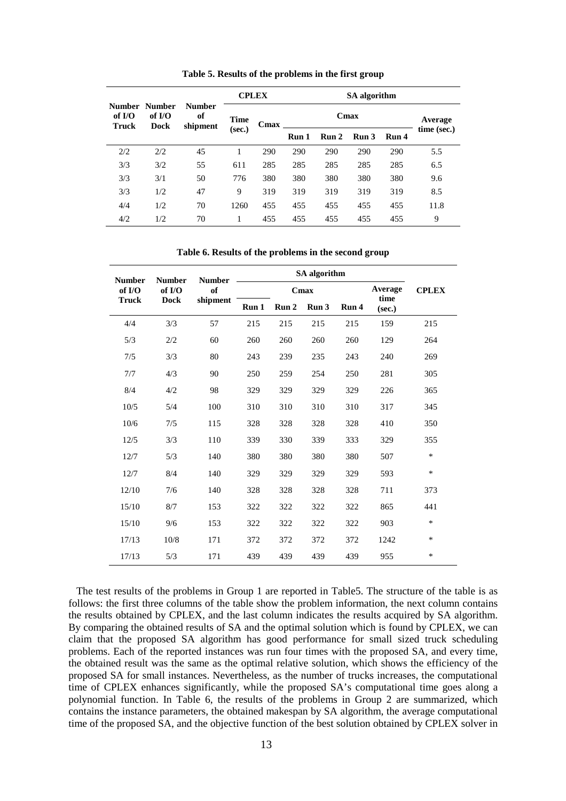|                            | Number<br>of $I/O$<br><b>Dock</b> |                                 |                       | <b>CPLEX</b> | SA algorithm |         |                  |       |             |  |
|----------------------------|-----------------------------------|---------------------------------|-----------------------|--------------|--------------|---------|------------------|-------|-------------|--|
| Number<br>of $IO$<br>Truck |                                   | <b>Number</b><br>of<br>shipment | <b>Time</b><br>(sec.) | Cmax         |              | Average |                  |       |             |  |
|                            |                                   |                                 |                       |              | Run 1        | Run 2   | Run <sub>3</sub> | Run 4 | time (sec.) |  |
| 2/2                        | 2/2                               | 45                              | л.                    | 290          | 290          | 290     | 290              | 290   | 5.5         |  |
| 3/3                        | 3/2                               | 55                              | 611                   | 285          | 285          | 285     | 285              | 285   | 6.5         |  |
| 3/3                        | 3/1                               | 50                              | 776                   | 380          | 380          | 380     | 380              | 380   | 9.6         |  |
| 3/3                        | 1/2                               | 47                              | 9                     | 319          | 319          | 319     | 319              | 319   | 8.5         |  |
| 4/4                        | 1/2                               | 70                              | 1260                  | 455          | 455          | 455     | 455              | 455   | 11.8        |  |
| 4/2                        | 1/2                               | 70                              | 1                     | 455          | 455          | 455     | 455              | 455   | 9           |  |

**Table 5. Results of the problems in the first group**

**Table 6. Results of the problems in the second group** 

| <b>Number</b> | <b>Number</b> | <b>Number</b><br>of<br>shipment |       |       |                  |              |                |        |
|---------------|---------------|---------------------------------|-------|-------|------------------|--------------|----------------|--------|
| of I/O        | of I/O        |                                 |       | Cmax  | Average          | <b>CPLEX</b> |                |        |
| <b>Truck</b>  | <b>Dock</b>   |                                 | Run 1 | Run 2 | Run <sub>3</sub> | Run 4        | time<br>(sec.) |        |
| 4/4           | 3/3           | 57                              | 215   | 215   | 215              | 215          | 159            | 215    |
| 5/3           | 2/2           | 60                              | 260   | 260   | 260              | 260          | 129            | 264    |
| 7/5           | 3/3           | 80                              | 243   | 239   | 235              | 243          | 240            | 269    |
| 7/7           | 4/3           | 90                              | 250   | 259   | 254              | 250          | 281            | 305    |
| 8/4           | 4/2           | 98                              | 329   | 329   | 329              | 329          | 226            | 365    |
| 10/5          | 5/4           | 100                             | 310   | 310   | 310              | 310          | 317            | 345    |
| 10/6          | 7/5           | 115                             | 328   | 328   | 328              | 328          | 410            | 350    |
| 12/5          | 3/3           | 110                             | 339   | 330   | 339              | 333          | 329            | 355    |
| 12/7          | 5/3           | 140                             | 380   | 380   | 380              | 380          | 507            | $\ast$ |
| 12/7          | 8/4           | 140                             | 329   | 329   | 329              | 329          | 593            | $\ast$ |
| 12/10         | 7/6           | 140                             | 328   | 328   | 328              | 328          | 711            | 373    |
| 15/10         | 8/7           | 153                             | 322   | 322   | 322              | 322          | 865            | 441    |
| 15/10         | 9/6           | 153                             | 322   | 322   | 322              | 322          | 903            | $\ast$ |
| 17/13         | 10/8          | 171                             | 372   | 372   | 372              | 372          | 1242           | $\ast$ |
| 17/13         | 5/3           | 171                             | 439   | 439   | 439              | 439          | 955            | $\ast$ |

 The test results of the problems in Group 1 are reported in Table5. The structure of the table is as follows: the first three columns of the table show the problem information, the next column contains the results obtained by CPLEX, and the last column indicates the results acquired by SA algorithm. By comparing the obtained results of SA and the optimal solution which is found by CPLEX, we can claim that the proposed SA algorithm has good performance for small sized truck scheduling problems. Each of the reported instances was run four times with the proposed SA, and every time, the obtained result was the same as the optimal relative solution, which shows the efficiency of the proposed SA for small instances. Nevertheless, as the number of trucks increases, the computational time of CPLEX enhances significantly, while the proposed SA's computational time goes along a polynomial function. In Table 6, the results of the problems in Group 2 are summarized, which contains the instance parameters, the obtained makespan by SA algorithm, the average computational time of the proposed SA, and the objective function of the best solution obtained by CPLEX solver in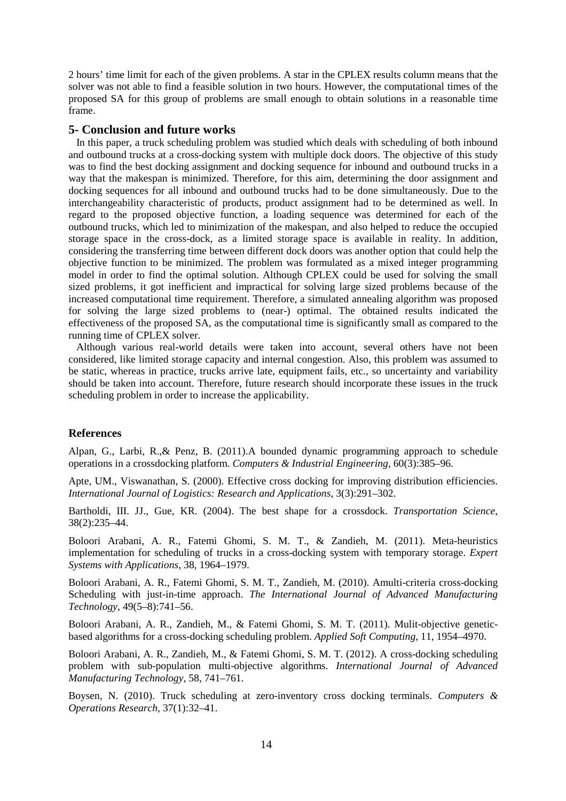2 hours' time limit for each of the given problems. A star in the CPLEX results column means that the solver was not able to find a feasible solution in two hours. However, the computational times of the proposed SA for this group of problems are small enough to obtain solutions in a reasonable time frame.

## **5- Conclusion and future works**

 In this paper, a truck scheduling problem was studied which deals with scheduling of both inbound and outbound trucks at a cross-docking system with multiple dock doors. The objective of this study was to find the best docking assignment and docking sequence for inbound and outbound trucks in a way that the makespan is minimized. Therefore, for this aim, determining the door assignment and docking sequences for all inbound and outbound trucks had to be done simultaneously. Due to the interchangeability characteristic of products, product assignment had to be determined as well. In regard to the proposed objective function, a loading sequence was determined for each of the outbound trucks, which led to minimization of the makespan, and also helped to reduce the occupied storage space in the cross-dock, as a limited storage space is available in reality. In addition, considering the transferring time between different dock doors was another option that could help the objective function to be minimized. The problem was formulated as a mixed integer programming model in order to find the optimal solution. Although CPLEX could be used for solving the small sized problems, it got inefficient and impractical for solving large sized problems because of the increased computational time requirement. Therefore, a simulated annealing algorithm was proposed for solving the large sized problems to (near-) optimal. The obtained results indicated the effectiveness of the proposed SA, as the computational time is significantly small as compared to the running time of CPLEX solver.

 Although various real-world details were taken into account, several others have not been considered, like limited storage capacity and internal congestion. Also, this problem was assumed to be static, whereas in practice, trucks arrive late, equipment fails, etc., so uncertainty and variability should be taken into account. Therefore, future research should incorporate these issues in the truck scheduling problem in order to increase the applicability.

### **References**

Alpan, G., Larbi, R.,& Penz, B. (2011).A bounded dynamic programming approach to schedule operations in a crossdocking platform. *Computers & Industrial Engineering*, 60(3):385–96.

Apte, UM., Viswanathan, S. (2000). Effective cross docking for improving distribution efficiencies. *International Journal of Logistics: Research and Applications*, 3(3):291–302.

Bartholdi, III. JJ., Gue, KR. (2004). The best shape for a crossdock. *Transportation Science*, 38(2):235–44.

Boloori Arabani, A. R., Fatemi Ghomi, S. M. T., & Zandieh, M. (2011). Meta-heuristics implementation for scheduling of trucks in a cross-docking system with temporary storage. *Expert Systems with Applications*, 38, 1964–1979.

Boloori Arabani, A. R., Fatemi Ghomi, S. M. T., Zandieh, M. (2010). Amulti-criteria cross-docking Scheduling with just-in-time approach. *The International Journal of Advanced Manufacturing Technology*, 49(5–8):741–56.

Boloori Arabani, A. R., Zandieh, M., & Fatemi Ghomi, S. M. T. (2011). Mulit-objective geneticbased algorithms for a cross-docking scheduling problem. *Applied Soft Computing*, 11, 1954–4970.

Boloori Arabani, A. R., Zandieh, M., & Fatemi Ghomi, S. M. T. (2012). A cross-docking scheduling problem with sub-population multi-objective algorithms. *International Journal of Advanced Manufacturing Technology*, 58, 741–761.

Boysen, N. (2010). Truck scheduling at zero-inventory cross docking terminals. *Computers & Operations Research*, 37(1):32–41.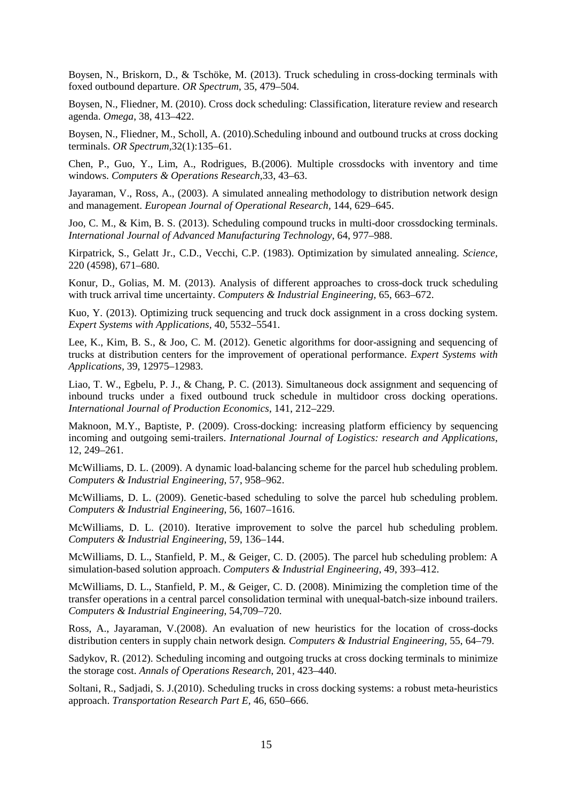Boysen, N., Briskorn, D., & Tschöke, M. (2013). Truck scheduling in cross-docking terminals with foxed outbound departure. *OR Spectrum*, 35, 479–504.

Boysen, N., Fliedner, M. (2010). Cross dock scheduling: Classification, literature review and research agenda. *Omega*, 38, 413–422.

Boysen, N., Fliedner, M., Scholl, A. (2010).Scheduling inbound and outbound trucks at cross docking terminals. *OR Spectrum,*32(1):135–61.

Chen, P., Guo, Y., Lim, A., Rodrigues, B.(2006). Multiple crossdocks with inventory and time windows. *Computers & Operations Research*,33, 43–63.

Jayaraman, V., Ross, A., (2003). A simulated annealing methodology to distribution network design and management. *European Journal of Operational Research,* 144, 629–645.

Joo, C. M., & Kim, B. S. (2013). Scheduling compound trucks in multi-door crossdocking terminals. *International Journal of Advanced Manufacturing Technology*, 64, 977–988.

Kirpatrick, S., Gelatt Jr., C.D., Vecchi, C.P. (1983). Optimization by simulated annealing. *Science,* 220 (4598), 671–680.

Konur, D., Golias, M. M. (2013). Analysis of different approaches to cross-dock truck scheduling with truck arrival time uncertainty. *Computers & Industrial Engineering,* 65, 663–672.

Kuo, Y. (2013). Optimizing truck sequencing and truck dock assignment in a cross docking system. *Expert Systems with Applications,* 40, 5532–5541.

Lee, K., Kim, B. S., & Joo, C. M. (2012). Genetic algorithms for door-assigning and sequencing of trucks at distribution centers for the improvement of operational performance. *Expert Systems with Applications,* 39, 12975–12983.

Liao, T. W., Egbelu, P. J., & Chang, P. C. (2013). Simultaneous dock assignment and sequencing of inbound trucks under a fixed outbound truck schedule in multidoor cross docking operations. *International Journal of Production Economics*, 141, 212–229.

Maknoon, M.Y., Baptiste, P. (2009). Cross-docking: increasing platform efficiency by sequencing incoming and outgoing semi-trailers. *International Journal of Logistics: research and Applications*, 12, 249–261.

McWilliams, D. L. (2009). A dynamic load-balancing scheme for the parcel hub scheduling problem. *Computers & Industrial Engineering*, 57, 958–962.

McWilliams, D. L. (2009). Genetic-based scheduling to solve the parcel hub scheduling problem. *Computers & Industrial Engineering*, 56, 1607–1616.

McWilliams, D. L. (2010). Iterative improvement to solve the parcel hub scheduling problem. *Computers & Industrial Engineering*, 59, 136–144.

McWilliams, D. L., Stanfield, P. M., & Geiger, C. D. (2005). The parcel hub scheduling problem: A simulation-based solution approach. *Computers & Industrial Engineering*, 49, 393–412.

McWilliams, D. L., Stanfield, P. M., & Geiger, C. D. (2008). Minimizing the completion time of the transfer operations in a central parcel consolidation terminal with unequal-batch-size inbound trailers. *Computers & Industrial Engineering*, 54,709–720.

Ross, A., Jayaraman, V.(2008). An evaluation of new heuristics for the location of cross-docks distribution centers in supply chain network design*. Computers & Industrial Engineering,* 55, 64–79.

Sadykov, R. (2012). Scheduling incoming and outgoing trucks at cross docking terminals to minimize the storage cost. *Annals of Operations Research*, 201, 423–440.

Soltani, R., Sadjadi, S. J.(2010). Scheduling trucks in cross docking systems: a robust meta-heuristics approach. *Transportation Research Part E,* 46, 650–666.